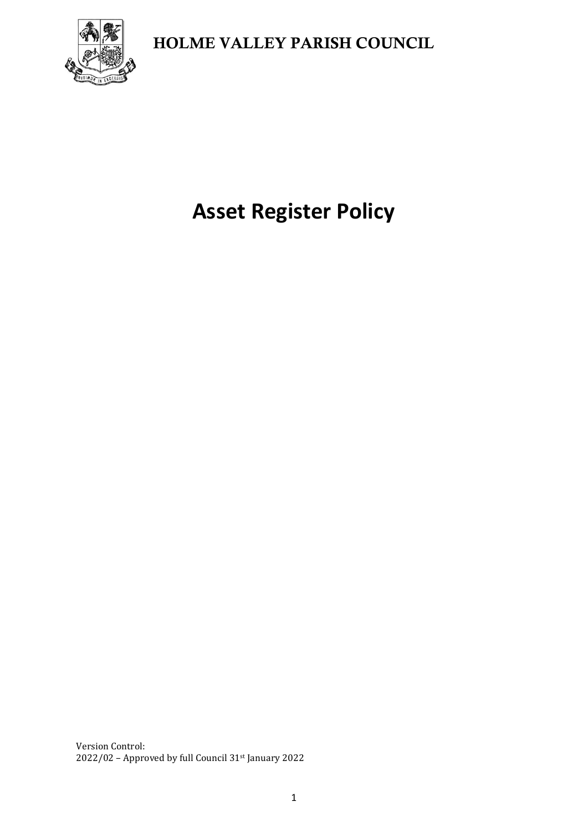

# **Asset Register Policy**

Version Control: 2022/02 – Approved by full Council 31st January 2022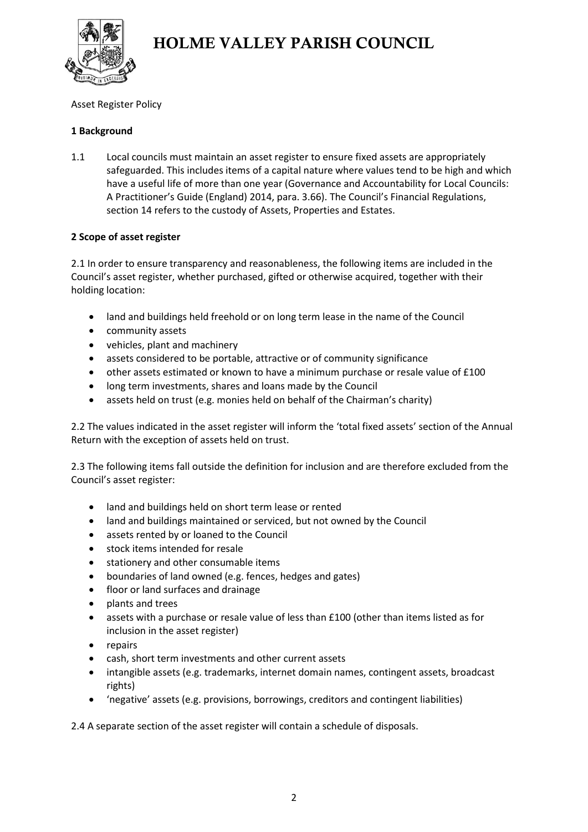

#### Asset Register Policy

#### **1 Background**

1.1 Local councils must maintain an asset register to ensure fixed assets are appropriately safeguarded. This includes items of a capital nature where values tend to be high and which have a useful life of more than one year (Governance and Accountability for Local Councils: A Practitioner's Guide (England) 2014, para. 3.66). The Council's Financial Regulations, section 14 refers to the custody of Assets, Properties and Estates.

#### **2 Scope of asset register**

2.1 In order to ensure transparency and reasonableness, the following items are included in the Council's asset register, whether purchased, gifted or otherwise acquired, together with their holding location:

- land and buildings held freehold or on long term lease in the name of the Council
- community assets
- vehicles, plant and machinery
- assets considered to be portable, attractive or of community significance
- other assets estimated or known to have a minimum purchase or resale value of £100
- long term investments, shares and loans made by the Council
- assets held on trust (e.g. monies held on behalf of the Chairman's charity)

2.2 The values indicated in the asset register will inform the 'total fixed assets' section of the Annual Return with the exception of assets held on trust.

2.3 The following items fall outside the definition for inclusion and are therefore excluded from the Council's asset register:

- land and buildings held on short term lease or rented
- land and buildings maintained or serviced, but not owned by the Council
- assets rented by or loaned to the Council
- stock items intended for resale
- stationery and other consumable items
- boundaries of land owned (e.g. fences, hedges and gates)
- floor or land surfaces and drainage
- plants and trees
- assets with a purchase or resale value of less than £100 (other than items listed as for inclusion in the asset register)
- repairs
- cash, short term investments and other current assets
- intangible assets (e.g. trademarks, internet domain names, contingent assets, broadcast rights)
- 'negative' assets (e.g. provisions, borrowings, creditors and contingent liabilities)

2.4 A separate section of the asset register will contain a schedule of disposals.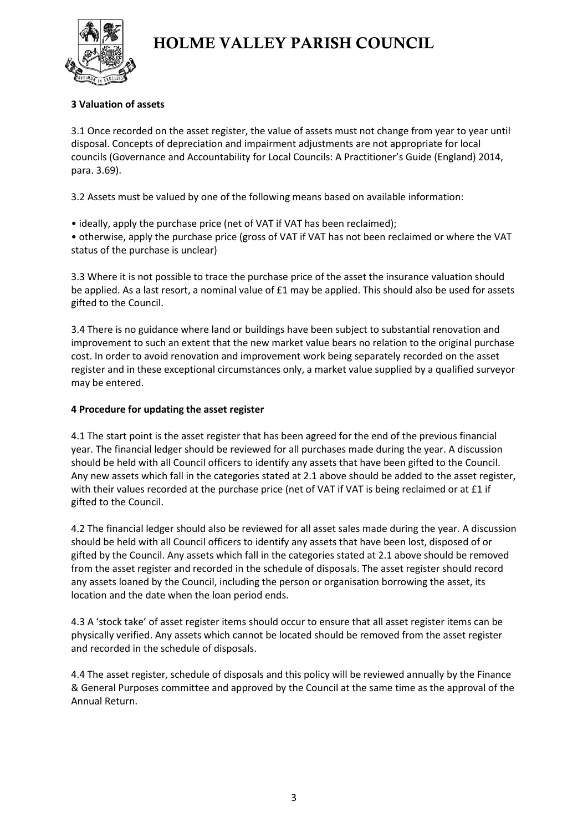

#### **3 Valuation of assets**

3.1 Once recorded on the asset register, the value of assets must not change from year to year until disposal. Concepts of depreciation and impairment adjustments are not appropriate for local councils (Governance and Accountability for Local Councils: A Practitioner's Guide (England) 2014, para. 3.69).

3.2 Assets must be valued by one of the following means based on available information:

• ideally, apply the purchase price (net of VAT if VAT has been reclaimed);

• otherwise, apply the purchase price (gross of VAT if VAT has not been reclaimed or where the VAT status of the purchase is unclear)

3.3 Where it is not possible to trace the purchase price of the asset the insurance valuation should be applied. As a last resort, a nominal value of £1 may be applied. This should also be used for assets gifted to the Council.

3.4 There is no guidance where land or buildings have been subject to substantial renovation and improvement to such an extent that the new market value bears no relation to the original purchase cost. In order to avoid renovation and improvement work being separately recorded on the asset register and in these exceptional circumstances only, a market value supplied by a qualified surveyor may be entered.

#### **4 Procedure for updating the asset register**

4.1 The start point is the asset register that has been agreed for the end of the previous financial year. The financial ledger should be reviewed for all purchases made during the year. A discussion should be held with all Council officers to identify any assets that have been gifted to the Council. Any new assets which fall in the categories stated at 2.1 above should be added to the asset register, with their values recorded at the purchase price (net of VAT if VAT is being reclaimed or at £1 if gifted to the Council.

4.2 The financial ledger should also be reviewed for all asset sales made during the year. A discussion should be held with all Council officers to identify any assets that have been lost, disposed of or gifted by the Council. Any assets which fall in the categories stated at 2.1 above should be removed from the asset register and recorded in the schedule of disposals. The asset register should record any assets loaned by the Council, including the person or organisation borrowing the asset, its location and the date when the loan period ends.

4.3 A 'stock take' of asset register items should occur to ensure that all asset register items can be physically verified. Any assets which cannot be located should be removed from the asset register and recorded in the schedule of disposals.

4.4 The asset register, schedule of disposals and this policy will be reviewed annually by the Finance & General Purposes committee and approved by the Council at the same time as the approval of the Annual Return.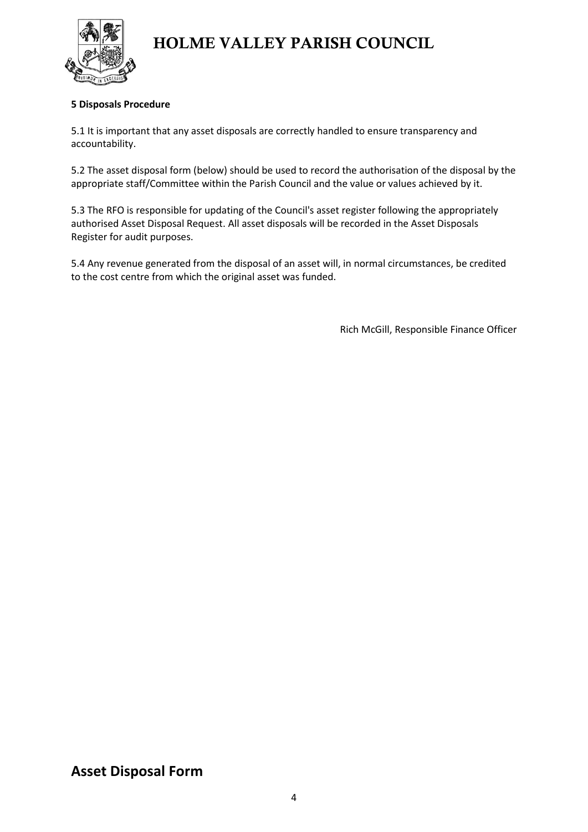

#### **5 Disposals Procedure**

5.1 It is important that any asset disposals are correctly handled to ensure transparency and accountability.

5.2 The asset disposal form (below) should be used to record the authorisation of the disposal by the appropriate staff/Committee within the Parish Council and the value or values achieved by it.

5.3 The RFO is responsible for updating of the Council's asset register following the appropriately authorised Asset Disposal Request. All asset disposals will be recorded in the Asset Disposals Register for audit purposes.

5.4 Any revenue generated from the disposal of an asset will, in normal circumstances, be credited to the cost centre from which the original asset was funded.

Rich McGill, Responsible Finance Officer

### **Asset Disposal Form**